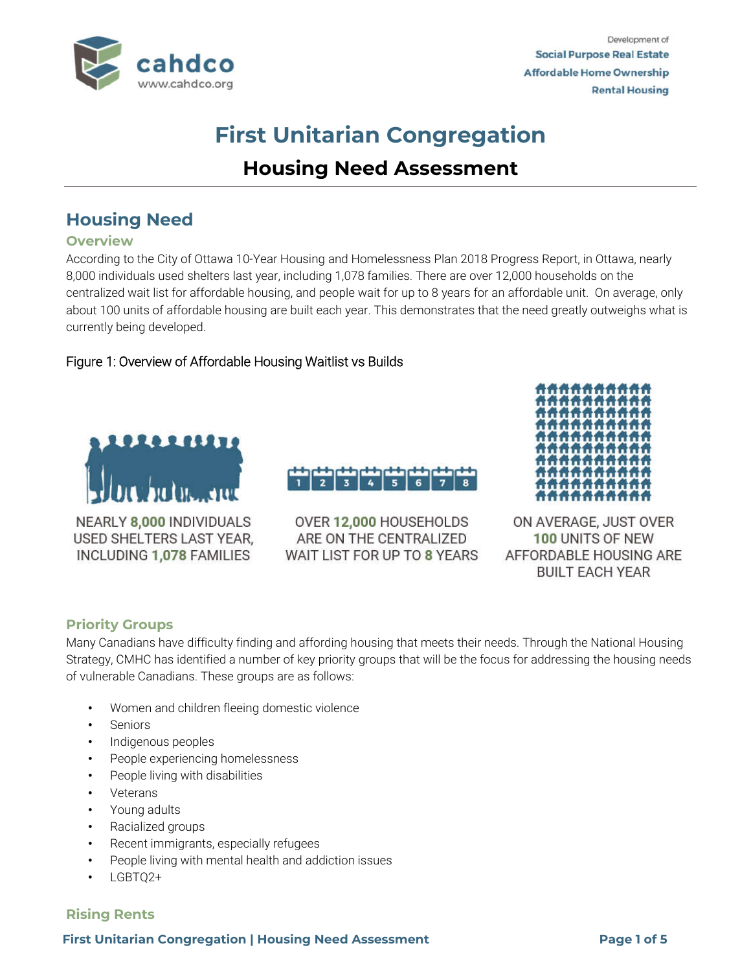

# **First Unitarian Congregation Housing Need Assessment**

# **Housing Need**

#### **Overview**

According to the City of Ottawa 10-Year Housing and Homelessness Plan 2018 Progress Report, in Ottawa, nearly 8,000 individuals used shelters last year, including 1,078 families. There are over 12,000 households on the centralized wait list for affordable housing, and people wait for up to 8 years for an affordable unit. On average, only about 100 units of affordable housing are built each year. This demonstrates that the need greatly outweighs what is currently being developed.

### Figure 1: Overview of Affordable Housing Waitlist vs Builds



NEARLY 8,000 INDIVIDUALS USED SHELTERS LAST YEAR, INCLUDING 1,078 FAMILIES

 $\overline{\phantom{a}}$ OVER 12,000 HOUSEHOLDS

 $\overline{4}$  $\overline{3}$ 

ARE ON THE CENTRALIZED WAIT LIST FOR UP TO 8 YEARS



ON AVERAGE, JUST OVER 100 UNITS OF NEW AFFORDABLE HOUSING ARE **BUILT EACH YEAR** 

#### **Priority Groups**

Many Canadians have difficulty finding and affording housing that meets their needs. Through the National Housing Strategy, CMHC has identified a number of key priority groups that will be the focus for addressing the housing needs of vulnerable Canadians. These groups are as follows:

- Women and children fleeing domestic violence
- **Seniors**
- Indigenous peoples
- People experiencing homelessness
- People living with disabilities
- **Veterans**
- Young adults
- Racialized groups
- Recent immigrants, especially refugees
- People living with mental health and addiction issues
- LGBTQ2+

#### **Rising Rents**

**First Unitarian Congregation | Housing Need Assessment Page 1 of 5**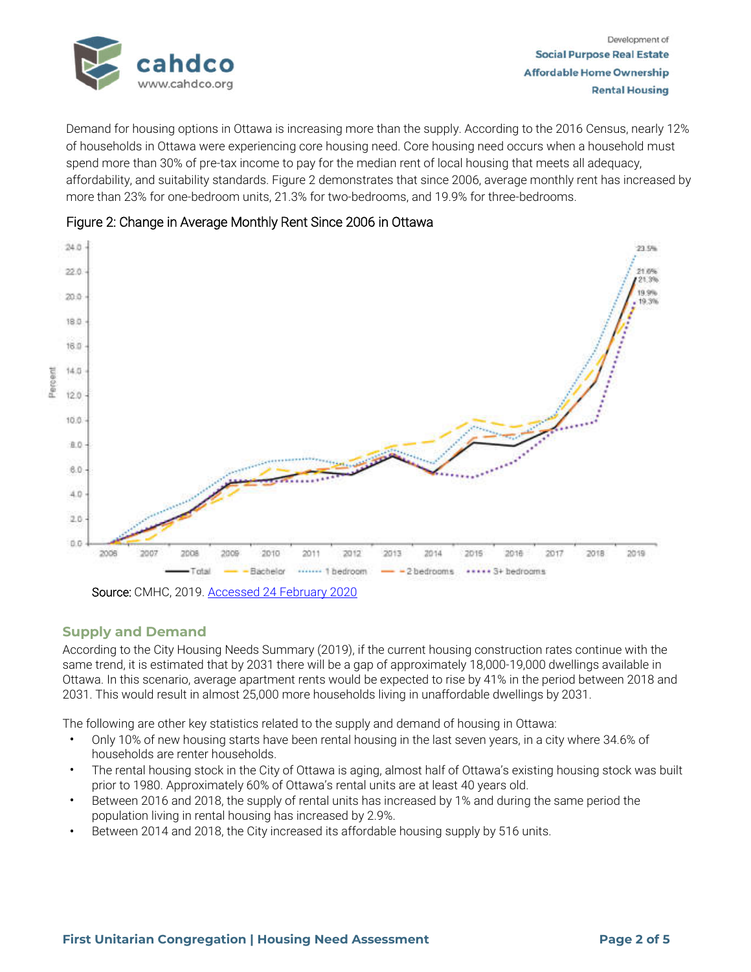

Demand for housing options in Ottawa is increasing more than the supply. According to the 2016 Census, nearly 12% of households in Ottawa were experiencing core housing need. Core housing need occurs when a household must spend more than 30% of pre-tax income to pay for the median rent of local housing that meets all adequacy, affordability, and suitability standards. Figure 2 demonstrates that since 2006, average monthly rent has increased by more than 23% for one-bedroom units, 21.3% for two-bedrooms, and 19.9% for three-bedrooms.



## Figure 2: Change in Average Monthly Rent Since 2006 in Ottawa

**Supply and Demand** 

According to the City Housing Needs Summary (2019), if the current housing construction rates continue with the same trend, it is estimated that by 2031 there will be a gap of approximately 18,000-19,000 dwellings available in Ottawa. In this scenario, average apartment rents would be expected to rise by 41% in the period between 2018 and 2031. This would result in almost 25,000 more households living in unaffordable dwellings by 2031.

The following are other key statistics related to the supply and demand of housing in Ottawa:

- Only 10% of new housing starts have been rental housing in the last seven years, in a city where 34.6% of households are renter households.
- The rental housing stock in the City of Ottawa is aging, almost half of Ottawa's existing housing stock was built prior to 1980. Approximately 60% of Ottawa's rental units are at least 40 years old.
- Between 2016 and 2018, the supply of rental units has increased by 1% and during the same period the population living in rental housing has increased by 2.9%.
- Between 2014 and 2018, the City increased its affordable housing supply by 516 units.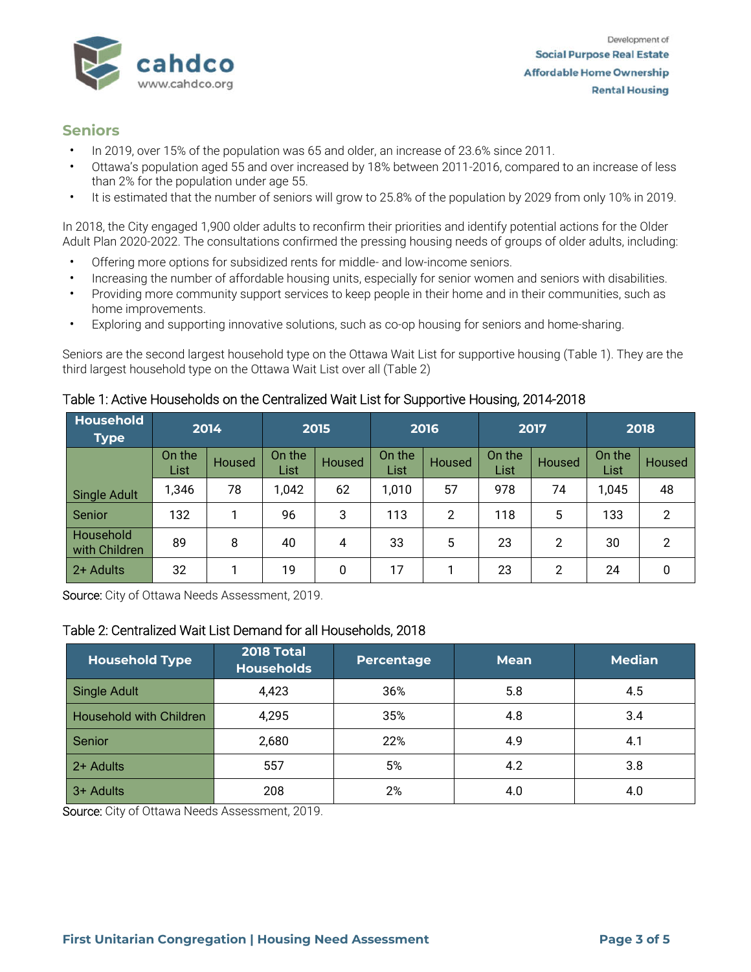

# **Seniors**

- In 2019, over 15% of the population was 65 and older, an increase of 23.6% since 2011.
- Ottawa's population aged 55 and over increased by 18% between 2011-2016, compared to an increase of less than 2% for the population under age 55.
- It is estimated that the number of seniors will grow to 25.8% of the population by 2029 from only 10% in 2019.

In 2018, the City engaged 1,900 older adults to reconfirm their priorities and identify potential actions for the Older Adult Plan 2020-2022. The consultations confirmed the pressing housing needs of groups of older adults, including:

- Offering more options for subsidized rents for middle- and low-income seniors.
- Increasing the number of affordable housing units, especially for senior women and seniors with disabilities.
- Providing more community support services to keep people in their home and in their communities, such as home improvements.
- Exploring and supporting innovative solutions, such as co-op housing for seniors and home-sharing.

Seniors are the second largest household type on the Ottawa Wait List for supportive housing (Table 1). They are the third largest household type on the Ottawa Wait List over all (Table 2)

| <b>Household</b><br><b>Type</b> | 2014                  |        | 2015           |               | 2016           |                | 2017           |               | 2018           |                |
|---------------------------------|-----------------------|--------|----------------|---------------|----------------|----------------|----------------|---------------|----------------|----------------|
|                                 | On the<br><b>List</b> | Housed | On the<br>List | <b>Housed</b> | On the<br>List | <b>Housed</b>  | On the<br>List | <b>Housed</b> | On the<br>List | Housed         |
| <b>Single Adult</b>             | 1,346                 | 78     | 1,042          | 62            | 1,010          | 57             | 978            | 74            | 1,045          | 48             |
| Senior                          | 132                   |        | 96             | 3             | 113            | $\overline{2}$ | 118            | 5             | 133            | $\overline{2}$ |
| Household<br>with Children      | 89                    | 8      | 40             | 4             | 33             | 5              | 23             | 2             | 30             | 2              |
| 2+ Adults                       | 32                    |        | 19             | 0             | 17             |                | 23             | 2             | 24             | 0              |

Table 1: Active Households on the Centralized Wait List for Supportive Housing, 2014-2018

Source: City of Ottawa Needs Assessment, 2019.

#### Table 2: Centralized Wait List Demand for all Households, 2018

| <b>Household Type</b>   | <b>2018 Total</b><br><b>Households</b> | <b>Percentage</b> | <b>Mean</b> | <b>Median</b> |
|-------------------------|----------------------------------------|-------------------|-------------|---------------|
| <b>Single Adult</b>     | 4,423                                  | 36%               | 5.8         | 4.5           |
| Household with Children | 4,295                                  | 35%               | 4.8         | 3.4           |
| Senior                  | 2,680                                  | 22%               | 4.9         | 4.1           |
| 2+ Adults               | 557                                    | 5%                | 4.2         | 3.8           |
| 3+ Adults               | 208                                    | 2%                | 4.0         | 4.0           |

Source: City of Ottawa Needs Assessment, 2019.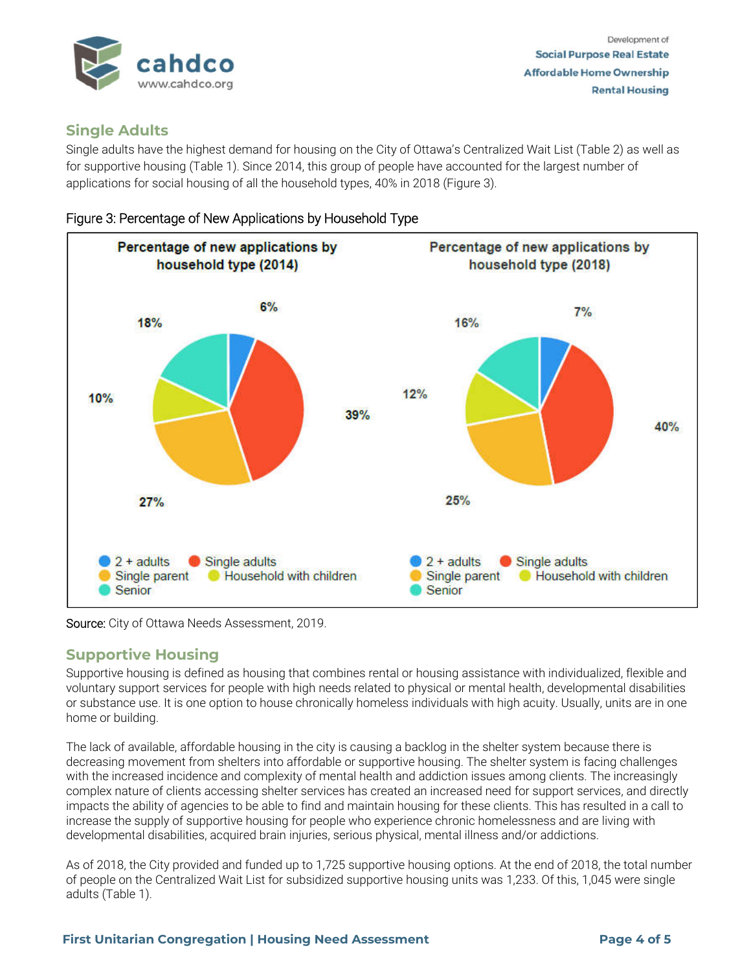

# **Single Adults**

Single adults have the highest demand for housing on the City of Ottawa's Centralized Wait List (Table 2) as well as for supportive housing (Table 1). Since 2014, this group of people have accounted for the largest number of applications for social housing of all the household types, 40% in 2018 (Figure 3).





#### Source: City of Ottawa Needs Assessment, 2019.

# **Supportive Housing**

Supportive housing is defined as housing that combines rental or housing assistance with individualized, flexible and voluntary support services for people with high needs related to physical or mental health, developmental disabilities or substance use. It is one option to house chronically homeless individuals with high acuity. Usually, units are in one home or building.

The lack of available, affordable housing in the city is causing a backlog in the shelter system because there is decreasing movement from shelters into affordable or supportive housing. The shelter system is facing challenges with the increased incidence and complexity of mental health and addiction issues among clients. The increasingly complex nature of clients accessing shelter services has created an increased need for support services, and directly impacts the ability of agencies to be able to find and maintain housing for these clients. This has resulted in a call to increase the supply of supportive housing for people who experience chronic homelessness and are living with developmental disabilities, acquired brain injuries, serious physical, mental illness and/or addictions.

As of 2018, the City provided and funded up to 1,725 supportive housing options. At the end of 2018, the total number of people on the Centralized Wait List for subsidized supportive housing units was 1,233. Of this, 1,045 were single adults (Table 1).